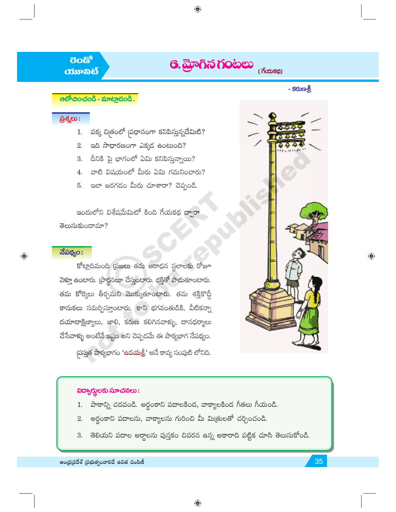# $\overline{\textbf{6}}$ . And  $\overline{\textbf{6}}$  and  $\overline{\textbf{6}}$  and  $\overline{\textbf{6}}$  and  $\overline{\textbf{6}}$  and  $\overline{\textbf{6}}$  and  $\overline{\textbf{6}}$  and  $\overline{\textbf{6}}$  and  $\overline{\textbf{6}}$  and  $\overline{\textbf{6}}$  and  $\overline{\textbf{6}}$  and  $\overline{\textbf{6}}$  and  $\overline{\textbf{6}}$  and  $\overline{\textbf{6}}$

 $\bigoplus$ 

- కరుణశ్రీ

## **ප**නිභිරායයේ - කාංහලයියේ.

**ರಂಡ್** 

*<u>ossoals</u>* 

# ప్రశ్నలు:

- పక్క చిత్రంలో మ్రధానంగా కనిపిస్తున్నదేమిటి? 1.
- $2.$  and  $\partial \overline{\phi}$  proposition  $\partial \overline{\phi}$  and  $\partial \overline{\phi}$
- 3. దీనికి పై భాగంలో ఏమి కనిపిస్తున్నాయి?
- 4. వాటి విషయంలో మీరు ఏమి గమనించారు?
- ఇలా జరగడం మీరు చూశారా? చెప్పండి. 5.

ఇందులోని విశేషమేమిటో కింది గేయకథ ద్వారా తెలుసుకుందామా?

# $\overline{\text{d}}$ పథ్యం:

 $\bigoplus$ 

కోట్లాదిమంది (పజలు తమ ఆరాధన స్థలాలకు రోజూ వెళ్తూ ఉంటారు. (పార్థనలూ చేస్తుంటారు. భక్తితో పాదుతూంటారు. తమ కోర్కెలు తీర్చమని మొక్కుతూంటారు. తమ శక్తికొద్దీ కానుకలు సమర్పిస్తూంటారు. కాని భగవంతుడికి, వీటికన్నా దయాదాక్షిణ్యాలు, జాలి, కరుణ కలిగినవాళ్ళు, దానధర్మాలు చేసేవాళ్ళు అంటేనే ఇష్టం అని చెప్పడమే ఈ పాఠ్యభాగ నేపథ్యం. పస్తుత పాఠ్యభాగం 'ఉదయత్రీ' అనే కావ్య సంపుటి లోనిది.



 $\bigoplus$ 

# విద్యార్థులకు సూచనలు:

- పాఠాన్ని చదవండి. అర్థంకాని పదాలకింద, వాక్యాలకింద గీతలు గీయండి. 1.
- అర్థంకాని పదాలను, వాక్యాలను గురించి మీ మిత్రులతో చర్చించండి.  $2.$
- తెలియని పదాల అర్థాలను పుస్తకం చివరన ఉన్న అకారాది పట్టిక చూసి తెలుసుకోండి. 3.

ఆంధ్రప్రదేశ్ (పభుత్వంవారిచే ఉచిత పంపిణీ

35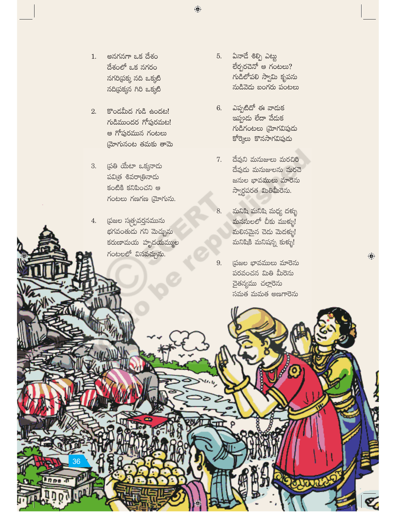- 1. అనగనగా ఒక దేశం దేశంలో ఒక నగరం నగరిప్రక్క నది ఒక్కటి నదిద్రక్కన గిరి ఒక్కటి
- $2.$  కొండమీద గుడి ఉందట! గుడిముందర గోఫురమట! ఆ గోపురమున గంటలు మోగునంట తమకు తామె
- 3. త్రతి యేటా ఒక్కనాడు పవిత్ర శివరాత్రినాడు కంటికి కనిపించని ఆ  $K$ රහපා රසාරස (మోగును.
- 4. స్రజల స్మత్పవర్తనమును భగవంతుడు గని మెచ్చును కరుణామయ హృదయమ్ముల గంటలలో వినవచ్చును.
- ఏనాదే శిల్పి ఎట్లు 5. อี้อังอีลิจ์ ๒ กั $o$ ยอง? గుడిలోపలి స్వామి కృపను నుడివెడు బంగరు పంటలు
- ఎప్పటిదో ఈ వాదుక 6. ఇప్పుడు లేదా వేడుక గుడిగంటలు (మోగవిపుడు కోర్కెలు కొనసాగవిపుడు
- 7. దేవుని మనుజులు మరచిరి దేవుడు మనుజులను మరచె జనుల భావములు మారెను స్వార్ధపరత మితిమీరెను.
- మనిషి మనిషి మధ్య దళ్ళు 8. మనసులలో చీకు ముళ్ళు! మలినమైన చెడు మెదక్ళు! మనిషికి మనిషన్న కుక్ళు!
- 9. (పజల భావములు మారెను పరవంచన మితి మీరెను చైతన్యము చల్లారెను సమత మమత అణగారెను

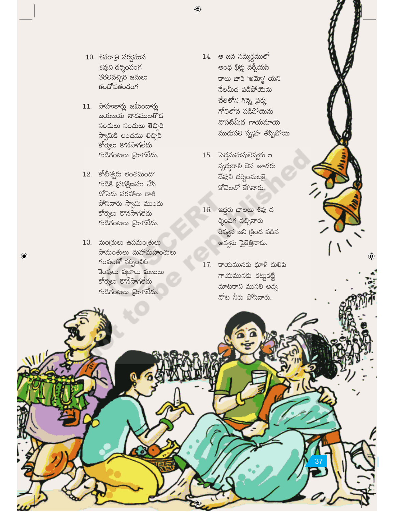- $10.$  శివరాత్రి పర్వమున శివుని దర్శింపంగ తరలివచ్చిరి జనులు తందోపతండంగ
- $11.$  సాహుకార్లు జమీందార్లు జయజయ నాదములతోద సంచులు సంచులు తెచ్చిరి స్వామికి లంచము లిచ్చిరి కోర్కెలు కొనసాగలేదు గుడిగంటలు మ్రోగలేదు.
- $12.$  కోటీశ్వరు లెంతమందొ  $K$ ుడికి (పదక్షిణము చేసి దోసెదు వరహాలు రాశి పోసినారు స్వామి ముందు కోర్కెలు కొనసాగలేదు గుడిగంటలు మ్రోగలేదు.
- $13.$  మంత్రులు ఉపమంత్రులు సామంతులు మహామహంతులు గంపలతో నర్పించిరి కెంపులు వజాలు మణులు కోర్కెలు కొనసాగలేదు గుడిగంటలు మ్రోగలేదు.

 $\bigodot$ 

- 14. ఆ జన సమ్మర్ధములో అంధ భిక్షు వర్తీయసి కాలు జారి 'అమ్మో' యని నేలమీద పడిపోయెను చేతిలోని గిన్నె (పక్క గోతిలోన పడిపోయెను నొసటిమీద గాయమాయె ముదుసలి స్ఫృహ తప్పిపోయె
- $15.$  పెద్దమనుషులెవ్వరు ఆ వృద్దరాలి దెస జూడరు దేవుని దర్శించుటకై కోవెలలో కేగినారు.
- 16. ఇద్దరు బాలలు శివు ద ర్శింపగ వచ్చినారు రివ్వన జని క్రింద పడిన అవ్వను పైకెత్తినారు.
- $17.$  కాయమునకు ధూళి దులిపి గాయమునకు కట్టుకట్టి మాటరాని ముసలి అవ్వ నోట నీరు పోసినారు.

 $\textcircled{\small\textrm{}}$ 

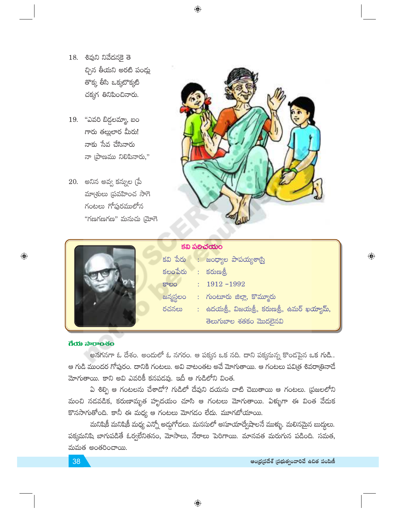- 18. శివుని నివేదనకై తె చ్చిన తీయని అరటి పండ్లు తొక్క తీసి ఒక్కటొక్కటి చక్కగ తినిపించినారు.
- 19. "ఎవరి బిడ్డలమ్మా, బం గారు తల్లులార మీరు! నాకు సేవ చేసినారు నా (పాణము నిలిపినారు,"
- 20. అనిన అవ్వ కన్నుల (పే మాత్రులు ప్రవహించ సాగె గంటలు గోపురములోన "గణగణగణ" మనుచు [మోగె





| క్టీబీ పలిచియం |                                        |  |                                              |  |  |  |  |
|----------------|----------------------------------------|--|----------------------------------------------|--|--|--|--|
|                |                                        |  | కవి పేరు : జంధ్యాల పాపయ్యశార్ని              |  |  |  |  |
|                | $\check{\mathbf{s}}$ లంపేరు : కరుణశ్రీ |  |                                              |  |  |  |  |
|                | కాలం                                   |  | $: 1912 - 1992$                              |  |  |  |  |
|                |                                        |  | జన్మస్థలం : గుంటూరు జిల్లా, కొమ్మూరు         |  |  |  |  |
|                | రచనలు                                  |  | : ఉదయత్రీ, విజయత్రీ, కరుణత్రీ, ఉమర్ ఖయ్యామ్, |  |  |  |  |
|                |                                        |  | తెలుగుబాల శతకం మొదలైనవి                      |  |  |  |  |
|                |                                        |  |                                              |  |  |  |  |

#### ಗೆಯ ನಾರಾಂಸಂ

 $\bigoplus$ 

అనగనగా ఓ దేశం. అందులో ఓ నగరం. ఆ పక్కన ఒక నది. దాని పక్కనున్న కొండపైన ఒక గుడి.. ఆ గుడి ముందర గోపురం. దానికి గంటలు. అవి వాటంతట అవే మోగుతాయి. ఆ గంటలు పవి[త శివరా[తినాదే మోగుతాయి. కాని అవి ఎవరికీ కనపడవు. ఇదీ ఆ గుడిలోని వింత.

ఏ శిల్పి ఆ గంటలను చేశాడో? గుడిలో దేవుని దయను చాటి చెబుతాయి ఆ గంటలు. (పజలలోని మంచి నడవడిక, కరుణామృత హృదయం చూసి ఆ గంటలు మోగుతాయి. ఏళ్ళుగా ఈ వింత వేదుక కొనసాగుతోంది. కానీ ఈ మధ్య ఆ గంటలు మోగడం లేదు. మూగబోయాయి.

మనిషికీ మనిషికీ మధ్య ఎన్నో అద్దుగోదలు. మనసులో అసూయాద్వేషాలనే ముళ్ళు. మలినమైన బుద్దులు. పక్కమనిషి బాగుపడితే ఓర్వలేనితనం, మోసాలు, నేరాలు పెరిగాయి. మానవత మరుగున పడింది. సమత, మమత అంతరించాయి.

 $\bigoplus$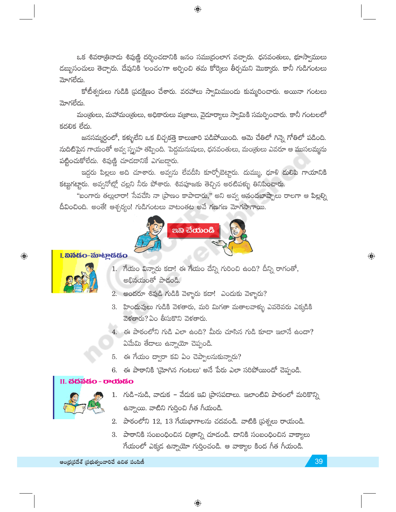ఒక శివరాత్రినాడు శివుణ్ణి దర్శించడానికి జనం సముద్రంలాగ వచ్చారు. ధనవంతులు, భూస్వాములు డబ్బుసంచులు తెచ్చారు. దేవునికి 'లంచం'గా అర్పించి తమ కోర్కెలు తీర్చమని మొక్కారు. కానీ గుడిగంటలు మోగలేదు.

 $\bigoplus$ 

కోటీశ్వరులు గుడికి (పదక్షిణం చేశారు. వరహాలు స్వామిముందు కుమ్మరించారు. అయినా గంటలు మోగలేదు.

మంత్రులు, మహామంత్రులు, అధికారులు వజ్రాలు, వైదూర్యాలు స్వామికి సమర్పించారు. కానీ గంటలలో కదలిక లేదు.

జనసమ్మర్ధంలో, కళ్ళులేని ఒక బిచ్చకత్తె కాలుజారి పడిపోయింది. ఆమె చేతిలో గిన్నె గోతిలో పడింది. నుదిటిపైన గాయంతో అవ్వ స్బృహ తప్పింది. పెద్దమనుషులు, ధనవంతులు, మం(తులు ఎవరూ ఆ ముసలమ్మను పట్టించుకోలేదు. శివుణ్ణి చూడదానికే ఎగబడ్డారు.

ఇద్దరు పిల్లలు అది చూశారు. అవ్వను లేవదీసి కూర్చోబెట్టారు. దుమ్ము, ధూళి దులిపి గాయానికి కట్టుగట్టారు. అవ్వనోట్లో చల్లని నీరు పోశారు. శివపూజకు తెచ్చిన అరటిపక్ళు తినిపించారు.

"బంగారు తల్లులారా! సేవచేసి నా [పాణం కాపాడారు," అని అవ్వ ఆనందబాష్పాలు రాలగా ఆ పిల్లల్ని దీవించింది. అంతే! ఆశ్చర్యం! గుడిగంటలు వాటంతట అవే గణగణ మోగసాగాయి.



### I. ನಿನೆಡೆಂ-ಮಾಟ್ಲಾಡೆಡೆಂ



 $\bigoplus$ 

- 1. గేయం విన్నారు కదా! ఈ గేయం దేన్ని గురించి ఉంది? దీన్ని రాగంతో, అభినయంతో పాడండి.
- 2. అందరూ శివుడి గుడికి వెళ్ళారు కదా! ఎందుకు వెళ్ళారు?
- 3. హిందువులు గుడికి వెళతారు, మరి మిగతా మతాలవాళ్ళు ఎవరెవరు ఎక్కడికి వెళతారు? ఏం తీసుకొని వెళతారు.
- 4. ఈ పాఠంలోని గుడి ఎలా ఉంది? మీరు చూసిన గుడి కూడా ఇలానే ఉందా? ఏమేమి తేదాలు ఉన్నాయో చెప్పండి.
- 5. ఈ గేయం ద్వారా కవి ఏం చెప్పాలనుకున్నారు?
- 6. ఈ పాఠానికి 'మ్రోగిన గంటలు' అనే పేరు ఎలా సరిపోయిందో చెప్పండి.

#### II. చదవడం - రాయడం



- 1. గుడి-నుడి, వాదుక వేదుక ఇవి (పాసపదాలు. ఇలాంటివి పాఠంలో మరికొన్ని ఉన్నాయి. వాటిని గుర్తించి గీత గీయండి.
- 2. పాఠంలోని 12, 13 గేయభాగాలను చదవండి. వాటికి ప్రశ్నలు రాయండి.
- 3. పాఠానికి సంబంధించిన చిత్రాన్ని చూడండి. దానికి సంబంధించిన వాక్యాలు గేయంలో ఎక్కడ ఉన్నాయో గుర్తించండి. ఆ వాక్యాల కింద గీత గీయండి.

 $\textcircled{\scriptsize\textsf{P}}$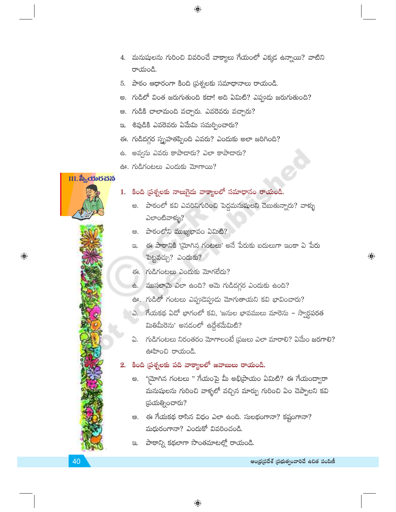- 4. మనుషులను గురించి వివరించే వాక్యాలు గేయంలో ఎక్కడ ఉన్నాయి? వాటిని రాయండి.
- 5. పాఠం ఆధారంగా కింది (పశ్నలకు సమాధానాలు రాయండి.

 $\bigoplus$ 

- అ. గుడిలో వింత జరుగుతుంది కదా! అది ఏమిటి? ఎప్పుడు జరుగుతుంది?
- ఆ. గుడికి చాలామంది వచ్చారు. ఎవరెవరు వచ్చారు?
- ఇ. శివుడికి ఎవరెవరు ఏమేమి సమర్పించారు?
- ఈ. గుడిదగ్గర స్ఫృహతప్పింది ఎవరు? ఎందుకు అలా జరిగింది?
- ఉ. అవ్వను ఎవరు కాపాడారు? ఎలా కాపాడారు?
- ఊ. గుడిగంటలు ఎందుకు మోగాయి?

# $II.$ స $\delta_{\rm s}$ ಯರವನ



 $\bm{\mathrm{\odot}}$ 

- 1. కింది ప్రశ్నలకు నాలుగైదు వాక్యాలలో సమాధానం రాయండి.
	- అ. పాఠంలో కవి ఎవరినిగురించి పెద్దమనుషులని చెబుతున్నారు? వాళ్ళు ಎಲ್ಂಟಿವ್ ಟ್ಬು?
	- ఆ. పాఠంలోని ముఖ్యభావం ఏమిటి?
	- ఇ. ఈ పాఠానికి 'మోగిన గంటలు' అనే పేరుకు బదులుగా ఇంకా ఏ పేరు పెట్టవచ్చు? ఎందుకు?
	- ఈ. గుడిగంటలు ఎందుకు మోగలేదు?
	- ఉ. ముసలామె ఎలా ఉంది? ఆమె గుడిదగ్గర ఎందుకు ఉంది?
	- ఊ. గుడిలో గంటలు ఎప్పుడెప్పుడు మోగుతాయని కవి భావించారు?
	- ఎ. గేయకథ ఏదో భాగంలో కవి, 'జనుల భావములు మారెను స్వార్థపరత మితిమీరెను' అనడంలో ఉద్దేశమేమిటి?
	- ఏ. గుడిగంటలు నిరంతరం మోగాలంటే (పజలు ఎలా మారాలి? ఏమేం జరగాలి? ఊహించి రాయండి.

#### కింది ప్రశ్నలకు పది వాక్యాలలో జవాబులు రాయండి.  $2.$

- అ. "మోగిన గంటలు " గేయంపై మీ అభిప్రాయం ఏమిటి? ఈ గేయంద్వారా మనుషులను గురించి వాళ్ళలో వచ్చిన మార్పు గురించి ఏం చెప్పాలని కవి స్రయత్నించారు?
- ఆ. ఈ గేయకథ రాసిన విధం ఎలా ఉంది. సులభంగానా? కష్టంగానా? మధురంగానా? ఎందుకో వివరించండి.
- పాఠాన్ని కథలాగా సొంతమాటల్లో రాయండి. ප.

 $\textcircled{\scriptsize\textsf{P}}$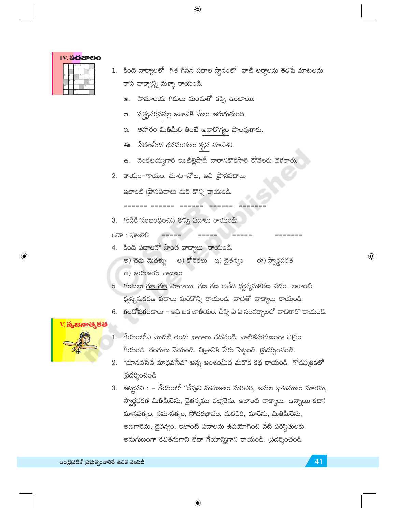|  |   |    |    |          | IV. <b>ಎದ</b> ಜಾಲಂ |
|--|---|----|----|----------|--------------------|
|  |   |    |    |          |                    |
|  |   |    |    |          |                    |
|  | ĸ |    |    |          |                    |
|  |   | q  |    | $10^{1}$ |                    |
|  |   |    | 12 |          |                    |
|  |   | 13 |    |          |                    |

- 1. కింది వాక్యాలలో గీత గీసిన పదాల స్థానంలో వాటి అర్థాలను తెలిపే మాటలను రాసి వాక్యాన్ని మళ్ళా రాయండి.
	- హిమాలయ గిరులు మంచుతో కప్పి ఉంటాయి. అ.

 $\bigoplus$ 

- స్మత్పవర్తనవల్ల జనానికి మేలు జరుగుతుంది. ఆ.
- ఆహారం మితిమీరి తింటే అనారోగ్యం పాలవుతారు.  $\mathfrak{D}$ .
- ఈ. పేదలమీద ధనవంతులు కృప చూపాలి.
- ఉ. వెంకటయ్యగారి ఇంటిల్లిపాదీ వారానికొకసారి కోవెలకు వెళతారు.
- 2. కాయం-గాయం, మాట-నోట, ఇవి [పాసపదాలు

ఇలాంటి (పాసపదాలు మరి కొన్ని రాయండి.

3. గుడికి సంబంధించిన కొన్ని పదాలు రాయండి:

ఉదా : పూజారి

- 4. కింది పదాలతో సొంత వాక్యాలు రాయండి.
	- అ) చెదు మెదళ్ళు అ) కోరికలు ఇ) చైతన్యం ఈ) స్వార్ధపరత
	- ఉ) జయజయ నాదాలు
- 5. గంటలు గణ గణ మోగాయి. గణ గణ అనేది ధ్వన్యనుకరణ పదం. ఇలాంటి ధ్వన్యసుకరణ పదాలు మరికొన్ని రాయండి. వాటితో వాక్యాలు రాయండి.
- 6. తందోపతందాలు ఇది ఒక జాతీయం. దీన్ని ఏ ఏ సందర్భాలలో వాడతారో రాయండి.



 $\bigoplus$ 

- 1. గేయంలోని మొదటి రెండు భాగాలు చదవండి. వాటికనుగుణంగా చిత్రం గీయండి. రంగులు వేయండి. చిత్రానికి పేరు పెట్టండి. (పదర్శించండి.
- 2. "మానవసేవే మాధవసేవ" అన్న అంశంమీద మరొక కథ రాయండి. గోడప@కలో (పదర్శించండి
- 3. జట్టుపని : గేయంలో "దేవుని మనుజులు మరిచిరి, జనుల భావములు మారెను, స్వార్ధపరత మితిమీరెను, చైతన్యము చల్లారెను. ఇలాంటి వాక్యాలు. ఉన్నాయి కదా! మానవత్వం, సమానత్వం, సోదరభావం, మరచిరి, మారెను, మితిమీరెను, అణగారెను, చైతన్యం, ఇలాంటి పదాలను ఉపయోగించి నేటి పరిస్థితులకు అనుగుణంగా కవితనుగాని లేదా గేయాన్నిగాని రాయండి. (పదర్శించండి.

 $\textcircled{\scriptsize\textsf{P}}$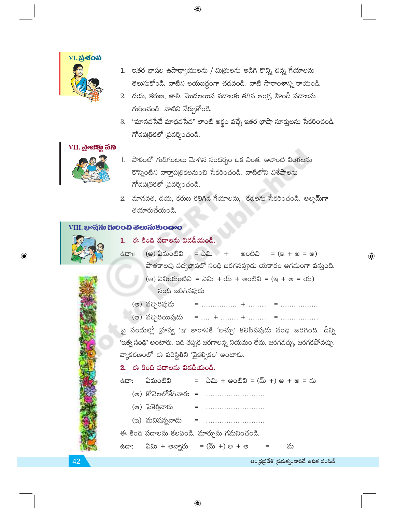

- 1. ఇతర భాషల ఉపాధ్యాయులను / మిత్రులను అడిగి కొన్ని చిన్న గేయాలను తెలుసుకోండి. వాటిని లయబద్ధంగా చదవండి. వాటి సారాంశాన్ని రాయండి.
- 2. దయ, కరుణ, జాలి, మొదలయిన పదాలకు తగిన ఆంగ్ల, హిందీ పదాలను గుర్తించండి. వాటిని నేర్చుకోండి.
- 3. "మానవసేవే మాధవసేవ" లాంటి అర్థం వచ్చే ఇతర భాషా సూక్తులను సేకరించండి. గోదపత్రికలో ద్రదర్శించండి.

# VII. බුංසිඡු හිබ



- 1. పాఠంలో గుడిగంటలు మోగిన సందర్భం ఒక వింత. అలాంటి వింతలను కొన్నింటిని వార్తాపత్రికలనుంచి సేకరించండి. వాటిలోని విశేషాలను గోదపత్రికలో (పదర్శించండి.
- 2. మానవత, దయ, కరుణ కలిగిన గేయాలను, కథలను సేకరించండి. అల్బమ్గా తయారుచేయండి.

# **VIII. భాషను గులించి తెలుసుకుందాం**



⊕

1. ఈ కింది పదాలను విడదీయండి.

= ఏమి + (అ) ఏమంటివి అంటివి  $=$  ( $\alpha + \omega = \omega$ ) ස්ධාම పాతకాలపు పద్యభాషలో సంధి జరగనప్పుడు యకారం ఆగమంగా వస్తుంది.  $($ ම) ఏమియంటివి = ఏమి + య్ + అంటివి =  $($ ఇ + అ = య) సంధి జరిగినపుడు

- (అ) వచ్చిరిపుడు
- (ఆ) వచ్చిరియిపుడు

పై సంధుల్లో (హస్వ 'ఇ' కారానికి 'అచ్చు' కలిసినపుడు సంధి జరిగింది. దీన్ని 'ఇత్వ సంధి' అంటారు. ఇది తప్పక జరగాలన్న నియమం లేదు. జరగవచ్చు, జరగకపోవచ్చు. వ్యాకరణంలో ఈ పరిస్థితిని 'వైకల్పికం' అంటారు.

# 2. ఈ కింది పదాలను విడదీయండి.

| ಂದಿದೆ | ఏమంటివి                           | = ఏమి + అంటివి = (మ్ +) అ + అ = మ          |   |
|-------|-----------------------------------|--------------------------------------------|---|
|       |                                   | (అ) కోవెలలోకేగినారు =                      |   |
|       |                                   | (అ) పైకెత్తినారు =                         |   |
|       |                                   | (ఇ) మనిషన్నవాడు  =                         |   |
|       |                                   | ఈ కింది పదాలను కలపండి. మార్పును గమనించండి. |   |
|       | ఉదా: ఏమి + అన్నారు = (మ్ +) అ + అ | $\sim$ $\sim$ $\sim$                       | మ |
|       |                                   |                                            |   |

42

 $\bigoplus$ 

ఆంధ్రప్రదేశ్ (పభుత్వంవారిచే ఉచిత పంపిణీ

 $\textcolor{black}{\textcolor{black}{\bigoplus}}$